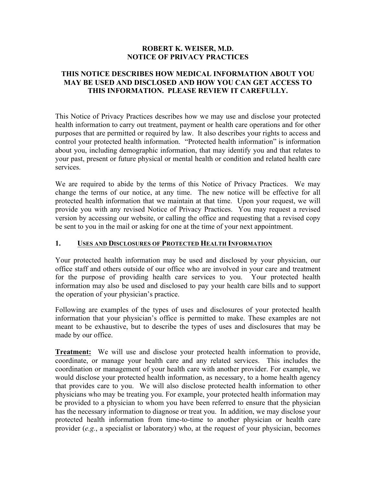## **ROBERT K. WEISER, M.D. NOTICE OF PRIVACY PRACTICES**

# **THIS NOTICE DESCRIBES HOW MEDICAL INFORMATION ABOUT YOU MAY BE USED AND DISCLOSED AND HOW YOU CAN GET ACCESS TO THIS INFORMATION. PLEASE REVIEW IT CAREFULLY.**

This Notice of Privacy Practices describes how we may use and disclose your protected health information to carry out treatment, payment or health care operations and for other purposes that are permitted or required by law. It also describes your rights to access and control your protected health information. "Protected health information" is information about you, including demographic information, that may identify you and that relates to your past, present or future physical or mental health or condition and related health care services.

We are required to abide by the terms of this Notice of Privacy Practices. We may change the terms of our notice, at any time. The new notice will be effective for all protected health information that we maintain at that time. Upon your request, we will provide you with any revised Notice of Privacy Practices. You may request a revised version by accessing our website, or calling the office and requesting that a revised copy be sent to you in the mail or asking for one at the time of your next appointment.

#### **1. USES AND DISCLOSURES OF PROTECTED HEALTH INFORMATION**

Your protected health information may be used and disclosed by your physician, our office staff and others outside of our office who are involved in your care and treatment for the purpose of providing health care services to you. Your protected health information may also be used and disclosed to pay your health care bills and to support the operation of your physician's practice.

Following are examples of the types of uses and disclosures of your protected health information that your physician's office is permitted to make. These examples are not meant to be exhaustive, but to describe the types of uses and disclosures that may be made by our office.

**Treatment:** We will use and disclose your protected health information to provide, coordinate, or manage your health care and any related services. This includes the coordination or management of your health care with another provider. For example, we would disclose your protected health information, as necessary, to a home health agency that provides care to you. We will also disclose protected health information to other physicians who may be treating you. For example, your protected health information may be provided to a physician to whom you have been referred to ensure that the physician has the necessary information to diagnose or treat you. In addition, we may disclose your protected health information from time-to-time to another physician or health care provider (*e.g.*, a specialist or laboratory) who, at the request of your physician, becomes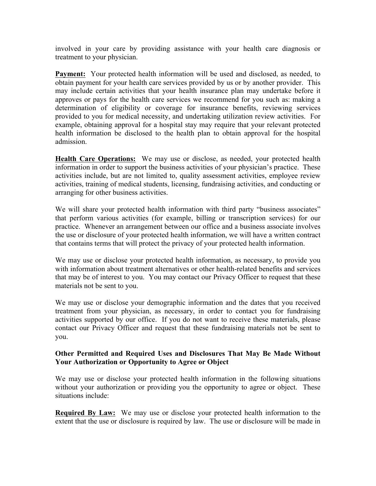involved in your care by providing assistance with your health care diagnosis or treatment to your physician.

**Payment:** Your protected health information will be used and disclosed, as needed, to obtain payment for your health care services provided by us or by another provider. This may include certain activities that your health insurance plan may undertake before it approves or pays for the health care services we recommend for you such as: making a determination of eligibility or coverage for insurance benefits, reviewing services provided to you for medical necessity, and undertaking utilization review activities. For example, obtaining approval for a hospital stay may require that your relevant protected health information be disclosed to the health plan to obtain approval for the hospital admission.

**Health Care Operations:** We may use or disclose, as needed, your protected health information in order to support the business activities of your physician's practice. These activities include, but are not limited to, quality assessment activities, employee review activities, training of medical students, licensing, fundraising activities, and conducting or arranging for other business activities.

We will share your protected health information with third party "business associates" that perform various activities (for example, billing or transcription services) for our practice. Whenever an arrangement between our office and a business associate involves the use or disclosure of your protected health information, we will have a written contract that contains terms that will protect the privacy of your protected health information.

We may use or disclose your protected health information, as necessary, to provide you with information about treatment alternatives or other health-related benefits and services that may be of interest to you. You may contact our Privacy Officer to request that these materials not be sent to you.

We may use or disclose your demographic information and the dates that you received treatment from your physician, as necessary, in order to contact you for fundraising activities supported by our office. If you do not want to receive these materials, please contact our Privacy Officer and request that these fundraising materials not be sent to you.

#### **Other Permitted and Required Uses and Disclosures That May Be Made Without Your Authorization or Opportunity to Agree or Object**

We may use or disclose your protected health information in the following situations without your authorization or providing you the opportunity to agree or object. These situations include:

**Required By Law:** We may use or disclose your protected health information to the extent that the use or disclosure is required by law. The use or disclosure will be made in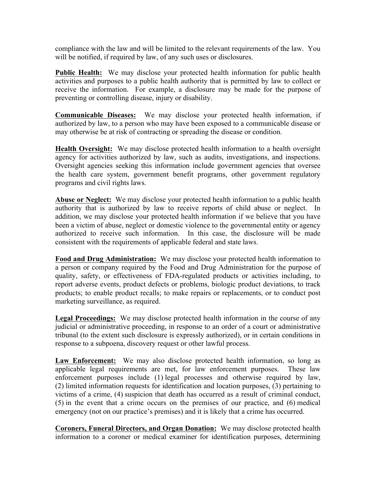compliance with the law and will be limited to the relevant requirements of the law. You will be notified, if required by law, of any such uses or disclosures.

**Public Health:** We may disclose your protected health information for public health activities and purposes to a public health authority that is permitted by law to collect or receive the information. For example, a disclosure may be made for the purpose of preventing or controlling disease, injury or disability.

**Communicable Diseases:** We may disclose your protected health information, if authorized by law, to a person who may have been exposed to a communicable disease or may otherwise be at risk of contracting or spreading the disease or condition.

**Health Oversight:** We may disclose protected health information to a health oversight agency for activities authorized by law, such as audits, investigations, and inspections. Oversight agencies seeking this information include government agencies that oversee the health care system, government benefit programs, other government regulatory programs and civil rights laws.

**Abuse or Neglect:** We may disclose your protected health information to a public health authority that is authorized by law to receive reports of child abuse or neglect. In addition, we may disclose your protected health information if we believe that you have been a victim of abuse, neglect or domestic violence to the governmental entity or agency authorized to receive such information. In this case, the disclosure will be made consistent with the requirements of applicable federal and state laws.

**Food and Drug Administration:** We may disclose your protected health information to a person or company required by the Food and Drug Administration for the purpose of quality, safety, or effectiveness of FDA-regulated products or activities including, to report adverse events, product defects or problems, biologic product deviations, to track products; to enable product recalls; to make repairs or replacements, or to conduct post marketing surveillance, as required.

**Legal Proceedings:** We may disclose protected health information in the course of any judicial or administrative proceeding, in response to an order of a court or administrative tribunal (to the extent such disclosure is expressly authorized), or in certain conditions in response to a subpoena, discovery request or other lawful process.

Law Enforcement: We may also disclose protected health information, so long as applicable legal requirements are met, for law enforcement purposes. These law enforcement purposes include (1) legal processes and otherwise required by law, (2) limited information requests for identification and location purposes, (3) pertaining to victims of a crime, (4) suspicion that death has occurred as a result of criminal conduct, (5) in the event that a crime occurs on the premises of our practice, and (6) medical emergency (not on our practice's premises) and it is likely that a crime has occurred.

**Coroners, Funeral Directors, and Organ Donation:** We may disclose protected health information to a coroner or medical examiner for identification purposes, determining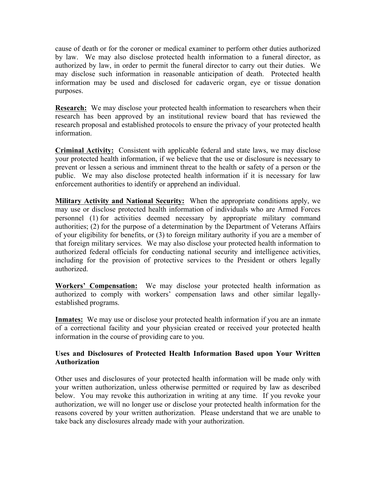cause of death or for the coroner or medical examiner to perform other duties authorized by law. We may also disclose protected health information to a funeral director, as authorized by law, in order to permit the funeral director to carry out their duties. We may disclose such information in reasonable anticipation of death. Protected health information may be used and disclosed for cadaveric organ, eye or tissue donation purposes.

**Research:** We may disclose your protected health information to researchers when their research has been approved by an institutional review board that has reviewed the research proposal and established protocols to ensure the privacy of your protected health information.

**Criminal Activity:** Consistent with applicable federal and state laws, we may disclose your protected health information, if we believe that the use or disclosure is necessary to prevent or lessen a serious and imminent threat to the health or safety of a person or the public. We may also disclose protected health information if it is necessary for law enforcement authorities to identify or apprehend an individual.

**Military Activity and National Security:** When the appropriate conditions apply, we may use or disclose protected health information of individuals who are Armed Forces personnel (1) for activities deemed necessary by appropriate military command authorities; (2) for the purpose of a determination by the Department of Veterans Affairs of your eligibility for benefits, or (3) to foreign military authority if you are a member of that foreign military services. We may also disclose your protected health information to authorized federal officials for conducting national security and intelligence activities, including for the provision of protective services to the President or others legally authorized.

**Workers' Compensation:** We may disclose your protected health information as authorized to comply with workers' compensation laws and other similar legallyestablished programs.

**Inmates:** We may use or disclose your protected health information if you are an inmate of a correctional facility and your physician created or received your protected health information in the course of providing care to you.

### **Uses and Disclosures of Protected Health Information Based upon Your Written Authorization**

Other uses and disclosures of your protected health information will be made only with your written authorization, unless otherwise permitted or required by law as described below. You may revoke this authorization in writing at any time. If you revoke your authorization, we will no longer use or disclose your protected health information for the reasons covered by your written authorization. Please understand that we are unable to take back any disclosures already made with your authorization.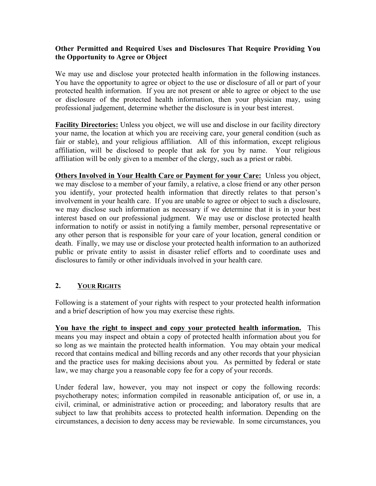## **Other Permitted and Required Uses and Disclosures That Require Providing You the Opportunity to Agree or Object**

We may use and disclose your protected health information in the following instances. You have the opportunity to agree or object to the use or disclosure of all or part of your protected health information. If you are not present or able to agree or object to the use or disclosure of the protected health information, then your physician may, using professional judgement, determine whether the disclosure is in your best interest.

**Facility Directories:** Unless you object, we will use and disclose in our facility directory your name, the location at which you are receiving care, your general condition (such as fair or stable), and your religious affiliation. All of this information, except religious affiliation, will be disclosed to people that ask for you by name. Your religious affiliation will be only given to a member of the clergy, such as a priest or rabbi.

**Others Involved in Your Health Care or Payment for your Care:** Unless you object, we may disclose to a member of your family, a relative, a close friend or any other person you identify, your protected health information that directly relates to that person's involvement in your health care. If you are unable to agree or object to such a disclosure, we may disclose such information as necessary if we determine that it is in your best interest based on our professional judgment. We may use or disclose protected health information to notify or assist in notifying a family member, personal representative or any other person that is responsible for your care of your location, general condition or death. Finally, we may use or disclose your protected health information to an authorized public or private entity to assist in disaster relief efforts and to coordinate uses and disclosures to family or other individuals involved in your health care.

# **2. YOUR RIGHTS**

Following is a statement of your rights with respect to your protected health information and a brief description of how you may exercise these rights.

**You have the right to inspect and copy your protected health information.** This means you may inspect and obtain a copy of protected health information about you for so long as we maintain the protected health information. You may obtain your medical record that contains medical and billing records and any other records that your physician and the practice uses for making decisions about you. As permitted by federal or state law, we may charge you a reasonable copy fee for a copy of your records.

Under federal law, however, you may not inspect or copy the following records: psychotherapy notes; information compiled in reasonable anticipation of, or use in, a civil, criminal, or administrative action or proceeding; and laboratory results that are subject to law that prohibits access to protected health information. Depending on the circumstances, a decision to deny access may be reviewable. In some circumstances, you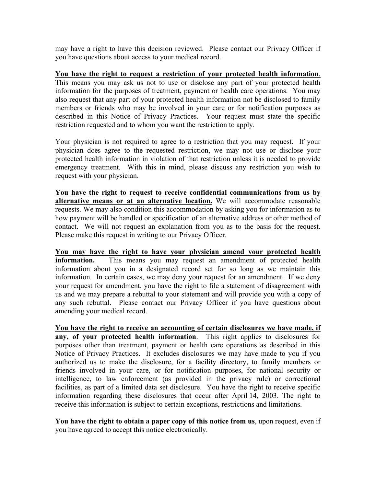may have a right to have this decision reviewed. Please contact our Privacy Officer if you have questions about access to your medical record.

**You have the right to request a restriction of your protected health information**. This means you may ask us not to use or disclose any part of your protected health information for the purposes of treatment, payment or health care operations. You may also request that any part of your protected health information not be disclosed to family members or friends who may be involved in your care or for notification purposes as described in this Notice of Privacy Practices. Your request must state the specific restriction requested and to whom you want the restriction to apply.

Your physician is not required to agree to a restriction that you may request. If your physician does agree to the requested restriction, we may not use or disclose your protected health information in violation of that restriction unless it is needed to provide emergency treatment. With this in mind, please discuss any restriction you wish to request with your physician.

**You have the right to request to receive confidential communications from us by alternative means or at an alternative location.** We will accommodate reasonable requests. We may also condition this accommodation by asking you for information as to how payment will be handled or specification of an alternative address or other method of contact. We will not request an explanation from you as to the basis for the request. Please make this request in writing to our Privacy Officer.

**You may have the right to have your physician amend your protected health information.** This means you may request an amendment of protected health information about you in a designated record set for so long as we maintain this information. In certain cases, we may deny your request for an amendment. If we deny your request for amendment, you have the right to file a statement of disagreement with us and we may prepare a rebuttal to your statement and will provide you with a copy of any such rebuttal. Please contact our Privacy Officer if you have questions about amending your medical record.

**You have the right to receive an accounting of certain disclosures we have made, if any, of your protected health information**. This right applies to disclosures for purposes other than treatment, payment or health care operations as described in this Notice of Privacy Practices. It excludes disclosures we may have made to you if you authorized us to make the disclosure, for a facility directory, to family members or friends involved in your care, or for notification purposes, for national security or intelligence, to law enforcement (as provided in the privacy rule) or correctional facilities, as part of a limited data set disclosure. You have the right to receive specific information regarding these disclosures that occur after April 14, 2003. The right to receive this information is subject to certain exceptions, restrictions and limitations.

**You have the right to obtain a paper copy of this notice from us**, upon request, even if you have agreed to accept this notice electronically.